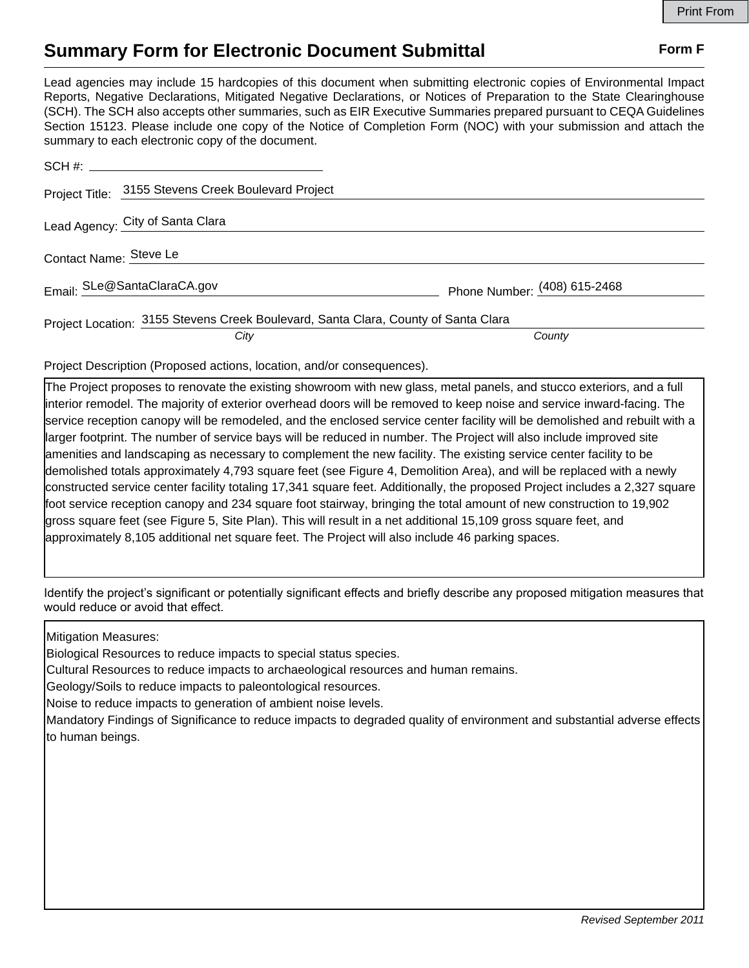## **Summary Form for Electronic Document Submittal Form F Form F**

Lead agencies may include 15 hardcopies of this document when submitting electronic copies of Environmental Impact Reports, Negative Declarations, Mitigated Negative Declarations, or Notices of Preparation to the State Clearinghouse (SCH). The SCH also accepts other summaries, such as EIR Executive Summaries prepared pursuant to CEQA Guidelines Section 15123. Please include one copy of the Notice of Completion Form (NOC) with your submission and attach the summary to each electronic copy of the document.

| Project Title: 3155 Stevens Creek Boulevard Project                                |                              |
|------------------------------------------------------------------------------------|------------------------------|
| Lead Agency: City of Santa Clara                                                   |                              |
| Contact Name: Steve Le                                                             |                              |
| Email: SLe@SantaClaraCA.gov                                                        | Phone Number: (408) 615-2468 |
| Project Location: 3155 Stevens Creek Boulevard, Santa Clara, County of Santa Clara |                              |
| City                                                                               | County                       |

Project Description (Proposed actions, location, and/or consequences).

The Project proposes to renovate the existing showroom with new glass, metal panels, and stucco exteriors, and a full interior remodel. The majority of exterior overhead doors will be removed to keep noise and service inward-facing. The service reception canopy will be remodeled, and the enclosed service center facility will be demolished and rebuilt with a larger footprint. The number of service bays will be reduced in number. The Project will also include improved site amenities and landscaping as necessary to complement the new facility. The existing service center facility to be demolished totals approximately 4,793 square feet (see Figure 4, Demolition Area), and will be replaced with a newly constructed service center facility totaling 17,341 square feet. Additionally, the proposed Project includes a 2,327 square foot service reception canopy and 234 square foot stairway, bringing the total amount of new construction to 19,902 gross square feet (see Figure 5, Site Plan). This will result in a net additional 15,109 gross square feet, and approximately 8,105 additional net square feet. The Project will also include 46 parking spaces.

Identify the project's significant or potentially significant effects and briefly describe any proposed mitigation measures that would reduce or avoid that effect.

Mitigation Measures:

Biological Resources to reduce impacts to special status species.

Cultural Resources to reduce impacts to archaeological resources and human remains.

Geology/Soils to reduce impacts to paleontological resources.

Noise to reduce impacts to generation of ambient noise levels.

Mandatory Findings of Significance to reduce impacts to degraded quality of environment and substantial adverse effects to human beings.